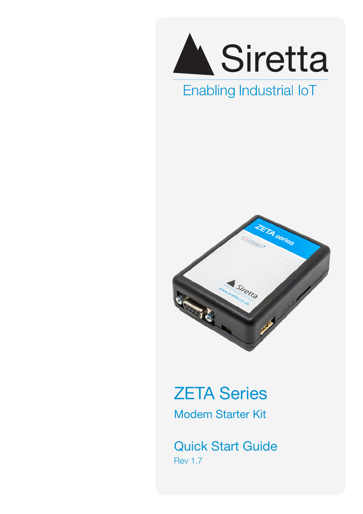

## Enabling Industrial IoT



# ZETA Series Modem Starter Kit

Quick Start Guide Rev 1.7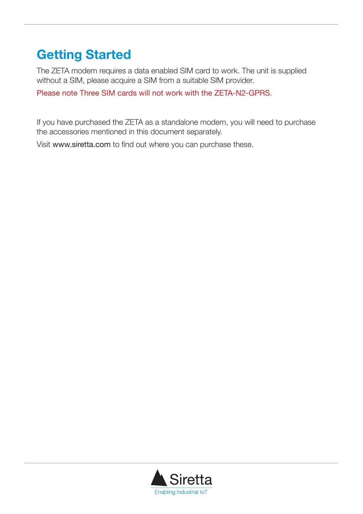### **Getting Started**

The ZETA modem requires a data enabled SIM card to work. The unit is supplied without a SIM, please acquire a SIM from a suitable SIM provider.

Please note Three SIM cards will not work with the ZETA-N2-GPRS.

If you have purchased the ZETA as a standalone modem, you will need to purchase the accessories mentioned in this document separately.

Visit www.siretta.com to find out where you can purchase these.

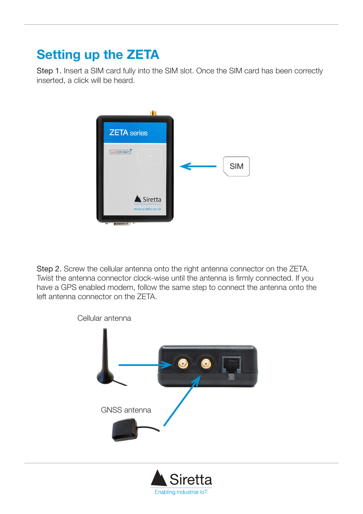## **Setting up the ZETA**

Step 1. Insert a SIM card fully into the SIM slot. Once the SIM card has been correctly inserted, a click will be heard.



Step 2. Screw the cellular antenna onto the right antenna connector on the ZETA. Twist the antenna connector clock-wise until the antenna is firmly connected. If you have a GPS enabled modem, follow the same step to connect the antenna onto the left antenna connector on the ZETA.

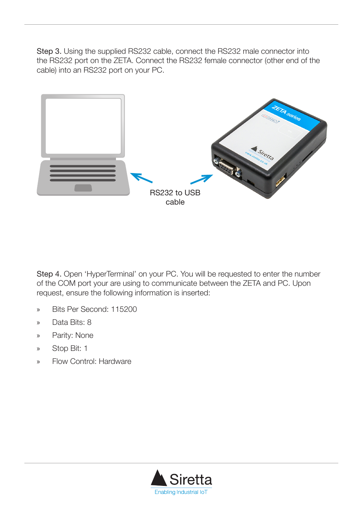Step 3. Using the supplied RS232 cable, connect the RS232 male connector into the RS232 port on the ZETA. Connect the RS232 female connector (other end of the cable) into an RS232 port on your PC.



Step 4. Open 'HyperTerminal' on your PC. You will be requested to enter the number of the COM port your are using to communicate between the ZETA and PC. Upon request, ensure the following information is inserted:

- » Bits Per Second: 115200
- » Data Bits: 8
- » Parity: None
- » Stop Bit: 1
- » Flow Control: Hardware

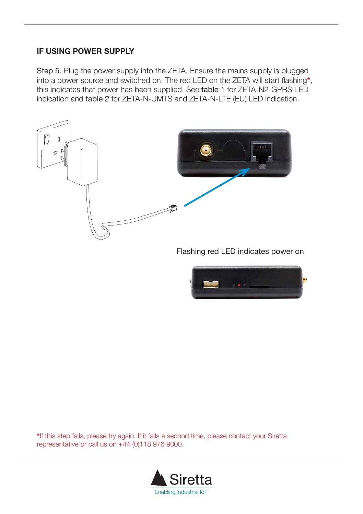#### **IF USING POWER SUPPLY**

Step 5. Plug the power supply into the ZETA. Ensure the mains supply is plugged into a power source and switched on. The red LED on the ZETA will start flashing**\***, this indicates that power has been supplied. See table 1 for ZETA-N2-GPRS LED indication and table 2 for ZETA-N-UMTS and ZETA-N-LTE (EU) LED indication.



Flashing red LED indicates power on



**\***If this step fails, please try again. If it fails a second time, please contact your Siretta representative or call us on +44 (0)118 976 9000.

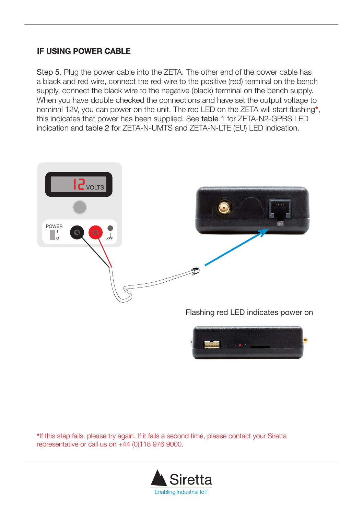#### **IF USING POWER CABLE**

Step 5. Plug the power cable into the ZETA. The other end of the power cable has a black and red wire, connect the red wire to the positive (red) terminal on the bench supply, connect the black wire to the negative (black) terminal on the bench supply. When you have double checked the connections and have set the output voltage to nominal 12V, you can power on the unit. The red LED on the ZETA will start flashing**\***, this indicates that power has been supplied. See table 1 for ZETA-N2-GPRS LED indication and table 2 for ZETA-N-UMTS and ZETA-N-LTE (EU) LED indication.



**\***If this step fails, please try again. If it fails a second time, please contact your Siretta representative or call us on +44 (0)118 976 9000.

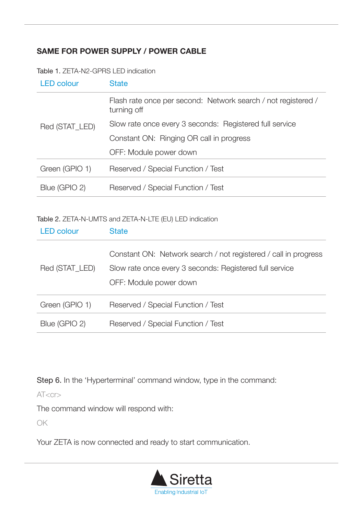### **SAME FOR POWER SUPPLY / POWER CABLE**

Table 1. ZETA-N2-GPRS LED indication

| <b>LED colour</b> | <b>State</b>                                                                 |
|-------------------|------------------------------------------------------------------------------|
| Red (STAT LED)    | Flash rate once per second: Network search / not registered /<br>turning off |
|                   | Slow rate once every 3 seconds: Registered full service                      |
|                   | Constant ON: Ringing OR call in progress                                     |
|                   | OFF: Module power down                                                       |
| Green (GPIO 1)    | Reserved / Special Function / Test                                           |
| Blue (GPIO 2)     | Reserved / Special Function / Test                                           |

Table 2. ZETA-N-UMTS and ZETA-N-LTE (EU) LED indication

| <b>LED</b> colour | <b>State</b>                                                                                                                                         |
|-------------------|------------------------------------------------------------------------------------------------------------------------------------------------------|
| Red (STAT LED)    | Constant ON: Network search / not registered / call in progress<br>Slow rate once every 3 seconds: Registered full service<br>OFF: Module power down |
| Green (GPIO 1)    | Reserved / Special Function / Test                                                                                                                   |
| Blue (GPIO 2)     | Reserved / Special Function / Test                                                                                                                   |

Step 6. In the 'Hyperterminal' command window, type in the command:

 $AT < c$ r $>$ 

The command window will respond with:

OK

Your ZETA is now connected and ready to start communication.